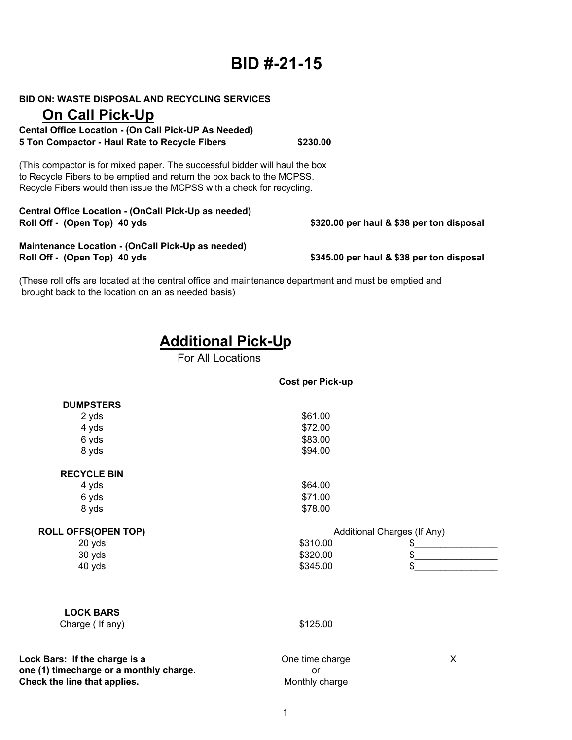# **BID #-21-15**

**BID ON: WASTE DISPOSAL AND RECYCLING SERVICES**

## **On Call Pick-Up**

**Cental Office Location - (On Call Pick-UP As Needed) 5 Ton Compactor - Haul Rate to Recycle Fibers \$230.00**

(This compactor is for mixed paper. The successful bidder will haul the box to Recycle Fibers to be emptied and return the box back to the MCPSS. Recycle Fibers would then issue the MCPSS with a check for recycling.

**Central Office Location - (OnCall Pick-Up as needed) Roll Off - (Open Top) 40 yds**

**Maintenance Location - (OnCall Pick-Up as needed) Roll Off - (Open Top) 40 yds**

**\$345.00 per haul & \$38 per ton disposal**

**\$320.00 per haul & \$38 per ton disposal**

(These roll offs are located at the central office and maintenance department and must be emptied and brought back to the location on an as needed basis)

## **Additional Pick-Up**

For All Locations

| <b>DUMPSTERS</b>           |                             |    |
|----------------------------|-----------------------------|----|
| 2 yds                      | \$61.00                     |    |
| 4 yds                      | \$72.00                     |    |
| 6 yds                      | \$83.00                     |    |
| 8 yds                      | \$94.00                     |    |
| <b>RECYCLE BIN</b>         |                             |    |
| 4 yds                      | \$64.00                     |    |
| 6 yds                      | \$71.00                     |    |
| 8 yds                      | \$78.00                     |    |
| <b>ROLL OFFS(OPEN TOP)</b> | Additional Charges (If Any) |    |
| 20 yds                     | \$310.00                    | \$ |
| 30 yds                     | \$320.00                    | \$ |
| 40 yds                     | \$345.00                    | \$ |

### **LOCK BARS**

Charge ( If any) \$125.00

**Lock Bars: If the charge is a** One time charge X **one (1) timecharge or a monthly charge. or or Check the line that applies.** Monthly charge

**Cost per Pick-up**